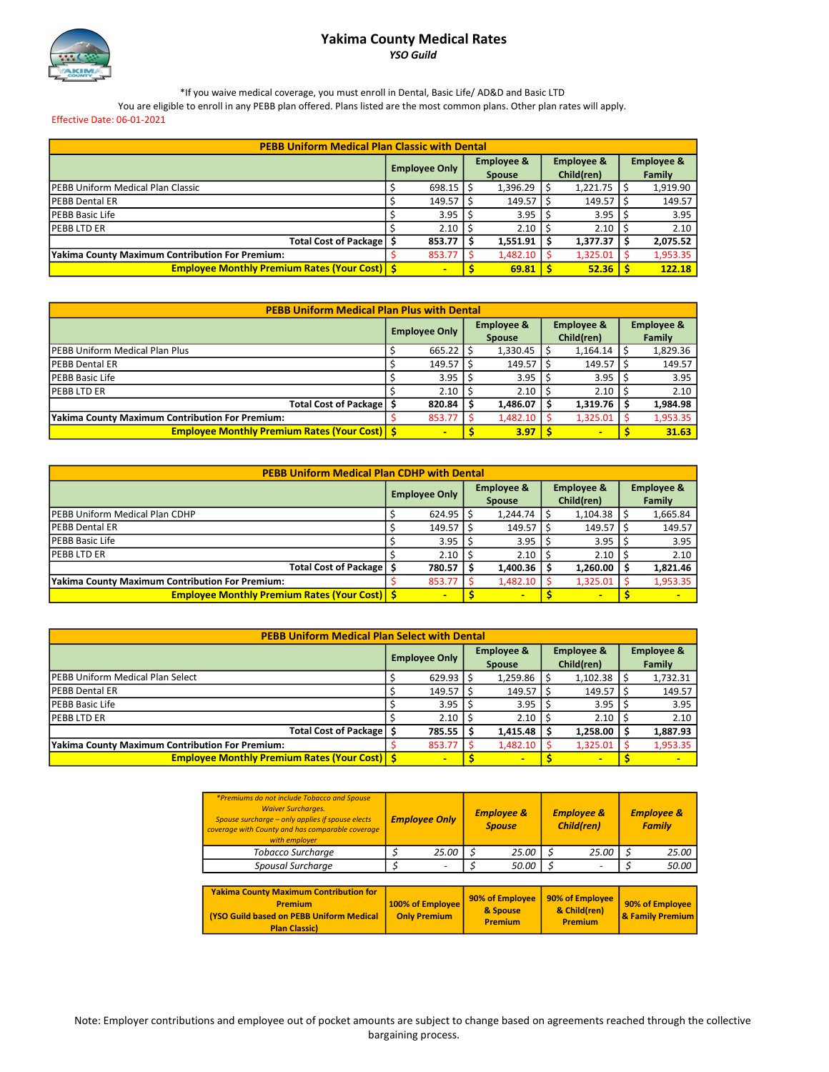## Yakima County Medical Rates YSO Guild



\*If you waive medical coverage, you must enroll in Dental, Basic Life/ AD&D and Basic LTD

You are eligible to enroll in any PEBB plan offered. Plans listed are the most common plans. Other plan rates will apply.

Effective Date: 06-01-2021

| <b>PEBB Uniform Medical Plan Classic with Dental</b> |                      |                |                                        |          |                                     |          |                                 |          |  |  |
|------------------------------------------------------|----------------------|----------------|----------------------------------------|----------|-------------------------------------|----------|---------------------------------|----------|--|--|
|                                                      | <b>Employee Only</b> |                | <b>Employee &amp;</b><br><b>Spouse</b> |          | <b>Employee &amp;</b><br>Child(ren) |          | <b>Employee &amp;</b><br>Family |          |  |  |
| <b>PEBB Uniform Medical Plan Classic</b>             |                      | $698.15$ S     |                                        | 1,396.29 |                                     | 1,221.75 |                                 | 1,919.90 |  |  |
| <b>PEBB Dental ER</b>                                |                      | 149.57         |                                        | 149.57   |                                     | 149.57   |                                 | 149.57   |  |  |
| <b>PEBB Basic Life</b>                               |                      | 3.95           |                                        | 3.95     |                                     | 3.95     |                                 | 3.95     |  |  |
| <b>PEBBLTDER</b>                                     |                      | 2.10           |                                        | 2.10     |                                     | 2.10     |                                 | 2.10     |  |  |
| Total Cost of Package   \$                           |                      | 853.77         |                                        | 1.551.91 |                                     | 1,377.37 |                                 | 2,075.52 |  |  |
| Yakima County Maximum Contribution For Premium:      |                      | 853.77         |                                        | 1,482.10 |                                     | 1,325.01 |                                 | 1,953.35 |  |  |
| <b>Employee Monthly Premium Rates (Your Cost) S</b>  |                      | $\blacksquare$ |                                        | 69.81    |                                     | 52.36    |                                 | 122.18   |  |  |

|                                                     | <b>PEBB Uniform Medical Plan Plus with Dental</b> |                      |  |                                        |  |                                     |  |                                        |  |  |  |  |
|-----------------------------------------------------|---------------------------------------------------|----------------------|--|----------------------------------------|--|-------------------------------------|--|----------------------------------------|--|--|--|--|
|                                                     |                                                   | <b>Employee Only</b> |  | <b>Employee &amp;</b><br><b>Spouse</b> |  | <b>Employee &amp;</b><br>Child(ren) |  | <b>Employee &amp;</b><br><b>Family</b> |  |  |  |  |
| <b>IPEBB Uniform Medical Plan Plus</b>              |                                                   | 665.22               |  | 1,330.45                               |  | 1,164.14                            |  | 1,829.36                               |  |  |  |  |
| <b>IPEBB Dental ER</b>                              |                                                   | 149.57               |  | $149.57$   \$                          |  | 149.57                              |  | 149.57                                 |  |  |  |  |
| <b>IPEBB Basic Life</b>                             |                                                   | 3.95                 |  | 3.95                                   |  | 3.95                                |  | 3.95                                   |  |  |  |  |
| <b>PEBBLTDER</b>                                    |                                                   | 2.10                 |  | 2.10                                   |  | 2.10                                |  | 2.10                                   |  |  |  |  |
| Total Cost of Package                               |                                                   | 820.84               |  | 1,486.07                               |  | 1,319.76                            |  | 1,984.98                               |  |  |  |  |
| Yakima County Maximum Contribution For Premium:     |                                                   | 853.77               |  | 1,482.10                               |  | 1,325.01                            |  | 1,953.35                               |  |  |  |  |
| <b>Employee Monthly Premium Rates (Your Cost) S</b> |                                                   | $\blacksquare$       |  | 3.97                                   |  | -                                   |  | 31.63                                  |  |  |  |  |

| <b>PEBB Uniform Medical Plan CDHP with Dental</b>   |  |                      |  |                                        |  |                                     |  |                                 |  |  |  |
|-----------------------------------------------------|--|----------------------|--|----------------------------------------|--|-------------------------------------|--|---------------------------------|--|--|--|
|                                                     |  | <b>Employee Only</b> |  | <b>Employee &amp;</b><br><b>Spouse</b> |  | <b>Employee &amp;</b><br>Child(ren) |  | <b>Employee &amp;</b><br>Family |  |  |  |
| <b>PEBB Uniform Medical Plan CDHP</b>               |  | $624.95$ \ \$        |  | 1,244.74                               |  | 1,104.38                            |  | 1,665.84                        |  |  |  |
| <b>IPEBB Dental ER</b>                              |  | $149.57$   \$        |  | 149.57                                 |  | 149.57                              |  | 149.57                          |  |  |  |
| <b>PEBB Basic Life</b>                              |  | 3.95                 |  | 3.95                                   |  | 3.95                                |  | 3.95                            |  |  |  |
| <b>IPEBBLTDER</b>                                   |  | 2.10                 |  | 2.10                                   |  | 2.10                                |  | 2.10                            |  |  |  |
| Total Cost of Package   \$                          |  | 780.57               |  | 1,400.36                               |  | 1.260.00                            |  | 1,821.46                        |  |  |  |
| Yakima County Maximum Contribution For Premium:     |  | 853.77               |  | 1,482.10                               |  | 1,325.01                            |  | 1,953.35                        |  |  |  |
| <b>Employee Monthly Premium Rates (Your Cost) S</b> |  | $\blacksquare$       |  | $\blacksquare$                         |  | -                                   |  | $\blacksquare$                  |  |  |  |

|                                                     | <b>PEBB Uniform Medical Plan Select with Dental</b> |                      |  |                                        |  |                                     |  |                                 |  |  |  |
|-----------------------------------------------------|-----------------------------------------------------|----------------------|--|----------------------------------------|--|-------------------------------------|--|---------------------------------|--|--|--|
|                                                     |                                                     | <b>Employee Only</b> |  | <b>Employee &amp;</b><br><b>Spouse</b> |  | <b>Employee &amp;</b><br>Child(ren) |  | <b>Employee &amp;</b><br>Family |  |  |  |
| <b>IPEBB Uniform Medical Plan Select</b>            |                                                     | $629.93$   \$        |  | 1,259.86                               |  | 1,102.38                            |  | 1,732.31                        |  |  |  |
| <b>PEBB Dental ER</b>                               |                                                     | 149.57               |  | 149.57                                 |  | 149.57                              |  | 149.57                          |  |  |  |
| <b>PEBB Basic Life</b>                              |                                                     | 3.95                 |  | 3.95                                   |  | 3.95                                |  | 3.95                            |  |  |  |
| IPEBB LTD ER                                        |                                                     | 2.10                 |  | 2.10                                   |  | 2.10                                |  | 2.10                            |  |  |  |
| Total Cost of Package   \$                          |                                                     | 785.55               |  | 1,415.48                               |  | 1.258.00                            |  | 1,887.93                        |  |  |  |
| Yakima County Maximum Contribution For Premium:     |                                                     | 853.77               |  | 1,482.10                               |  | 1,325.01                            |  | 1,953.35                        |  |  |  |
| <b>Employee Monthly Premium Rates (Your Cost) S</b> |                                                     | $\blacksquare$       |  | $\blacksquare$                         |  | $\blacksquare$                      |  | $\blacksquare$                  |  |  |  |

| *Premiums do not include Tobacco and Spouse<br><b>Waiver Surcharges.</b><br>Spouse surcharge - only applies if spouse elects<br>coverage with County and has comparable coverage<br>with employer | <b>Employee Only</b>                    | <b>Employee &amp;</b><br><b>Spouse</b>        |                          | <b>Employee &amp;</b><br><b>Child(ren)</b>        |  | <b>Employee &amp;</b><br><b>Family</b> |
|---------------------------------------------------------------------------------------------------------------------------------------------------------------------------------------------------|-----------------------------------------|-----------------------------------------------|--------------------------|---------------------------------------------------|--|----------------------------------------|
| Tobacco Surcharge                                                                                                                                                                                 | 25.00                                   | 25.00                                         |                          | 25.00                                             |  | 25.00                                  |
| Spousal Surcharge                                                                                                                                                                                 |                                         | 50.00                                         | $\overline{\phantom{a}}$ |                                                   |  | 50.00                                  |
|                                                                                                                                                                                                   |                                         |                                               |                          |                                                   |  |                                        |
| <b>Yakima County Maximum Contribution for</b><br><b>Premium</b><br>(YSO Guild based on PEBB Uniform Medical<br><b>Plan Classic)</b>                                                               | 100% of Employee<br><b>Only Premium</b> | 90% of Employee<br>& Spouse<br><b>Premium</b> |                          | 90% of Employee<br>& Child(ren)<br><b>Premium</b> |  | 90% of Employee<br>& Family Premium    |

Note: Employer contributions and employee out of pocket amounts are subject to change based on agreements reached through the collective bargaining process.